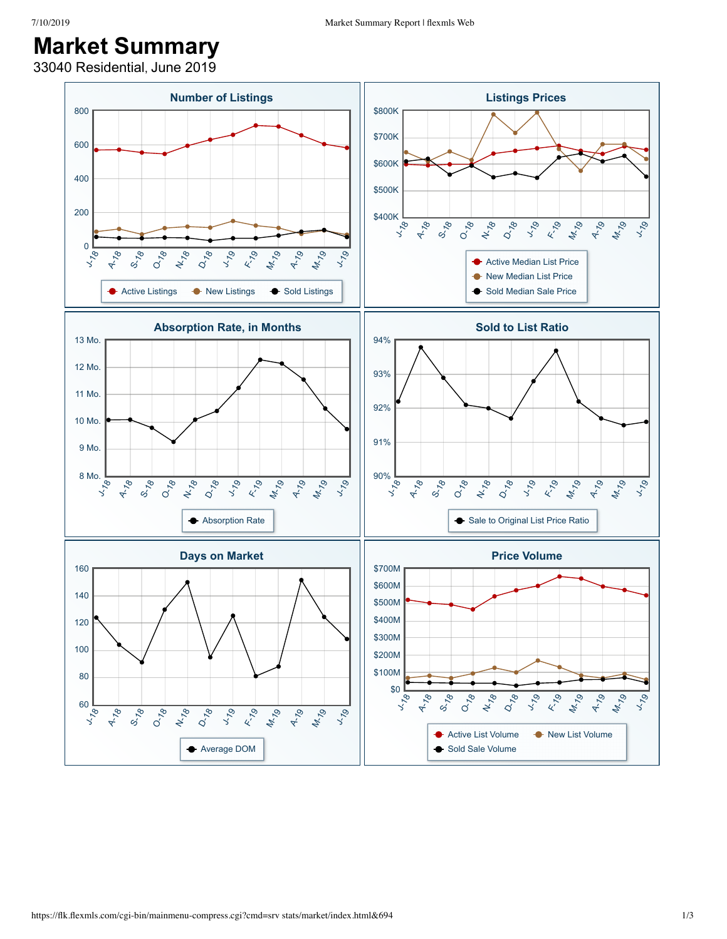## **Market Summary**

33040 Residential, June 2019

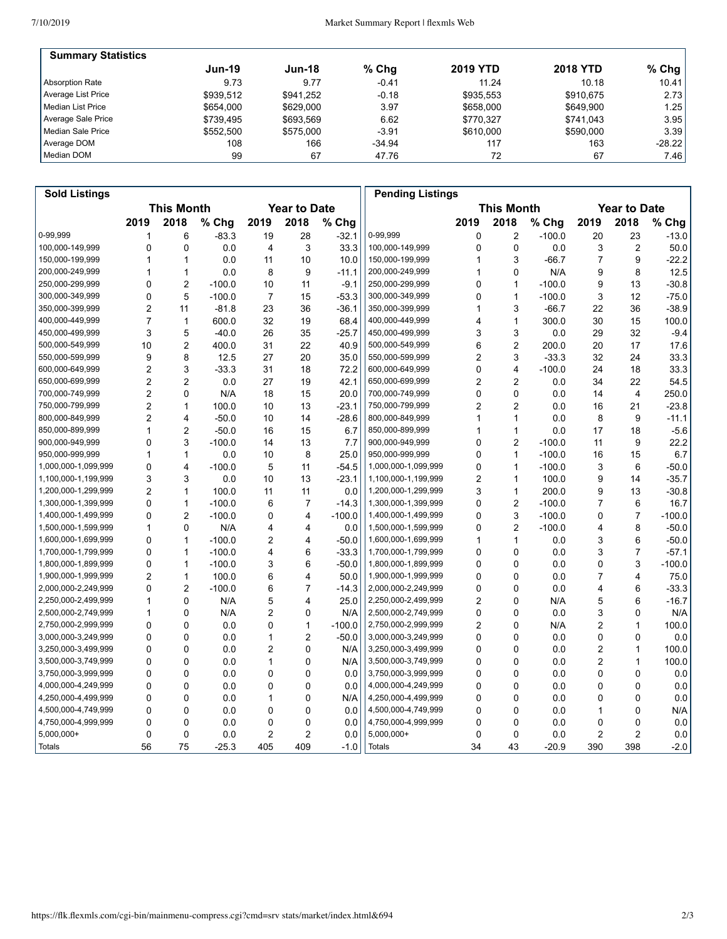## 7/10/2019 Market Summary Report | flexmls Web

| <b>Summary Statistics</b> |               |               |          |                 |                 |          |
|---------------------------|---------------|---------------|----------|-----------------|-----------------|----------|
|                           | <b>Jun-19</b> | <b>Jun-18</b> | $%$ Chg  | <b>2019 YTD</b> | <b>2018 YTD</b> | % Chg    |
| Absorption Rate           | 9.73          | 9.77          | $-0.41$  | 11.24           | 10.18           | 10.41    |
| Average List Price        | \$939.512     | \$941.252     | $-0.18$  | \$935.553       | \$910.675       | 2.73     |
| l Median List Price       | \$654,000     | \$629,000     | 3.97     | \$658,000       | \$649.900       | 1.25     |
| Average Sale Price        | \$739.495     | \$693.569     | 6.62     | \$770.327       | \$741.043       | 3.95     |
| Median Sale Price         | \$552,500     | \$575,000     | $-3.91$  | \$610,000       | \$590,000       | 3.39     |
| Average DOM               | 108           | 166           | $-34.94$ | 117             | 163             | $-28.22$ |
| Median DOM                | 99            | 67            | 47.76    | 72              | 67              | 7.46     |

| <b>Sold Listings</b> |                   |                |          |                |                     |          | <b>Pending Listings</b> |      |                   |          |                     |                |          |
|----------------------|-------------------|----------------|----------|----------------|---------------------|----------|-------------------------|------|-------------------|----------|---------------------|----------------|----------|
|                      | <b>This Month</b> |                |          |                | <b>Year to Date</b> |          |                         |      | <b>This Month</b> |          | <b>Year to Date</b> |                |          |
|                      | 2019              | 2018           | % Chg    | 2019           | 2018                | % Chg    |                         | 2019 | 2018              | $%$ Chg  | 2019                | 2018           | % Chg    |
| 0-99,999             | 1                 | 6              | $-83.3$  | 19             | 28                  | $-32.1$  | 0-99,999                | 0    | 2                 | $-100.0$ | 20                  | 23             | $-13.0$  |
| 100,000-149,999      | 0                 | $\Omega$       | 0.0      | $\overline{4}$ | 3                   | 33.3     | 100,000-149,999         | 0    | $\mathbf 0$       | 0.0      | 3                   | 2              | 50.0     |
| 150,000-199,999      |                   | $\mathbf{1}$   | 0.0      | 11             | 10                  | 10.0     | 150,000-199,999         | 1    | 3                 | $-66.7$  | 7                   | 9              | $-22.2$  |
| 200,000-249,999      | 1                 | $\mathbf{1}$   | 0.0      | 8              | 9                   | $-11.1$  | 200,000-249,999         | 1    | 0                 | N/A      | 9                   | 8              | 12.5     |
| 250,000-299,999      | 0                 | $\overline{2}$ | $-100.0$ | 10             | 11                  | $-9.1$   | 250,000-299,999         | 0    | 1                 | $-100.0$ | 9                   | 13             | $-30.8$  |
| 300,000-349,999      | 0                 | 5              | $-100.0$ | $\overline{7}$ | 15                  | $-53.3$  | 300,000-349,999         | 0    | $\mathbf{1}$      | $-100.0$ | 3                   | 12             | $-75.0$  |
| 350,000-399,999      | $\overline{2}$    | 11             | $-81.8$  | 23             | 36                  | $-36.1$  | 350,000-399,999         | 1    | 3                 | $-66.7$  | 22                  | 36             | $-38.9$  |
| 400,000-449,999      | $\overline{7}$    | $\mathbf{1}$   | 600.0    | 32             | 19                  | 68.4     | 400,000-449,999         | 4    | $\mathbf{1}$      | 300.0    | 30                  | 15             | 100.0    |
| 450,000-499,999      | 3                 | 5              | $-40.0$  | 26             | 35                  | $-25.7$  | 450,000-499,999         | 3    | 3                 | 0.0      | 29                  | 32             | $-9.4$   |
| 500,000-549,999      | 10                | $\overline{2}$ | 400.0    | 31             | 22                  | 40.9     | 500,000-549,999         | 6    | $\overline{2}$    | 200.0    | 20                  | 17             | 17.6     |
| 550,000-599,999      | 9                 | 8              | 12.5     | 27             | 20                  | 35.0     | 550,000-599,999         | 2    | 3                 | $-33.3$  | 32                  | 24             | 33.3     |
| 600,000-649,999      | $\overline{2}$    | 3              | $-33.3$  | 31             | 18                  | 72.2     | 600,000-649,999         | 0    | 4                 | $-100.0$ | 24                  | 18             | 33.3     |
| 650,000-699,999      | $\overline{2}$    | $\overline{2}$ | 0.0      | 27             | 19                  | 42.1     | 650,000-699,999         | 2    | $\overline{c}$    | 0.0      | 34                  | 22             | 54.5     |
| 700,000-749,999      | $\overline{2}$    | $\mathbf 0$    | N/A      | 18             | 15                  | 20.0     | 700,000-749,999         | 0    | $\mathbf 0$       | 0.0      | 14                  | 4              | 250.0    |
| 750,000-799,999      | $\overline{2}$    | $\mathbf{1}$   | 100.0    | 10             | 13                  | $-23.1$  | 750,000-799,999         | 2    | $\overline{2}$    | 0.0      | 16                  | 21             | $-23.8$  |
| 800,000-849,999      | 2                 | 4              | $-50.0$  | 10             | 14                  | $-28.6$  | 800,000-849,999         | 1    | $\mathbf{1}$      | 0.0      | 8                   | 9              | $-11.1$  |
| 850,000-899,999      | 1                 | $\overline{2}$ | $-50.0$  | 16             | 15                  | 6.7      | 850,000-899,999         | 1    | $\mathbf{1}$      | 0.0      | 17                  | 18             | $-5.6$   |
| 900,000-949,999      | 0                 | 3              | $-100.0$ | 14             | 13                  | 7.7      | 900,000-949,999         | 0    | $\overline{2}$    | $-100.0$ | 11                  | 9              | 22.2     |
| 950,000-999,999      | 1                 | $\mathbf{1}$   | 0.0      | 10             | 8                   | 25.0     | 950,000-999,999         | 0    | $\mathbf{1}$      | $-100.0$ | 16                  | 15             | 6.7      |
| 1,000,000-1,099,999  | 0                 | $\overline{4}$ | $-100.0$ | 5              | 11                  | $-54.5$  | 1,000,000-1,099,999     | 0    | $\mathbf{1}$      | $-100.0$ | 3                   | 6              | $-50.0$  |
| 1,100,000-1,199,999  | 3                 | 3              | 0.0      | 10             | 13                  | $-23.1$  | 1,100,000-1,199,999     | 2    | $\mathbf{1}$      | 100.0    | 9                   | 14             | $-35.7$  |
| 1,200,000-1,299,999  | $\overline{2}$    | $\mathbf{1}$   | 100.0    | 11             | 11                  | 0.0      | 1,200,000-1,299,999     | 3    | $\mathbf{1}$      | 200.0    | 9                   | 13             | $-30.8$  |
| 1,300,000-1,399,999  | 0                 | $\mathbf{1}$   | $-100.0$ | 6              | $\overline{7}$      | $-14.3$  | 1,300,000-1,399,999     | 0    | $\overline{2}$    | $-100.0$ | 7                   | 6              | 16.7     |
| 1,400,000-1,499,999  | 0                 | 2              | $-100.0$ | 0              | 4                   | $-100.0$ | 1,400,000-1,499,999     | 0    | 3                 | $-100.0$ | 0                   | 7              | $-100.0$ |
| 1,500,000-1,599,999  | $\mathbf{1}$      | $\mathbf{0}$   | N/A      | 4              | 4                   | 0.0      | 1,500,000-1,599,999     | 0    | $\overline{2}$    | $-100.0$ | 4                   | 8              | $-50.0$  |
| 1,600,000-1,699,999  | 0                 | $\mathbf{1}$   | $-100.0$ | 2              | 4                   | $-50.0$  | 1,600,000-1,699,999     | 1    | $\mathbf{1}$      | 0.0      | 3                   | 6              | $-50.0$  |
| 1,700,000-1,799,999  | 0                 | $\mathbf{1}$   | $-100.0$ | 4              | 6                   | $-33.3$  | 1,700,000-1,799,999     | 0    | $\mathbf 0$       | 0.0      | 3                   | $\overline{7}$ | $-57.1$  |
| 1,800,000-1,899,999  | 0                 | $\mathbf{1}$   | $-100.0$ | 3              | 6                   | $-50.0$  | 1,800,000-1,899,999     | 0    | $\Omega$          | 0.0      | 0                   | 3              | $-100.0$ |
| 1,900,000-1,999,999  | $\overline{2}$    | $\mathbf{1}$   | 100.0    | 6              | 4                   | 50.0     | 1,900,000-1,999,999     | 0    | $\mathbf 0$       | 0.0      | 7                   | 4              | 75.0     |
| 2,000,000-2,249,999  | 0                 | $\overline{2}$ | $-100.0$ | 6              | $\overline{7}$      | $-14.3$  | 2,000,000-2,249,999     | 0    | 0                 | 0.0      | 4                   | 6              | $-33.3$  |
| 2,250,000-2,499,999  | 1                 | 0              | N/A      | 5              | 4                   | 25.0     | 2,250,000-2,499,999     | 2    | 0                 | N/A      | 5                   | 6              | $-16.7$  |
| 2,500,000-2,749,999  | 1                 | $\Omega$       | N/A      | $\overline{2}$ | 0                   | N/A      | 2,500,000-2,749,999     | 0    | $\Omega$          | 0.0      | 3                   | 0              | N/A      |
| 2,750,000-2,999,999  | 0                 | $\Omega$       | 0.0      | 0              | 1                   | $-100.0$ | 2,750,000-2,999,999     | 2    | 0                 | N/A      | 2                   | 1              | 100.0    |
| 3,000,000-3,249,999  | 0                 | 0              | 0.0      | 1              | $\overline{2}$      | $-50.0$  | 3,000,000-3,249,999     | 0    | 0                 | 0.0      | 0                   | 0              | 0.0      |
| 3,250,000-3,499,999  | 0                 | $\mathbf 0$    | 0.0      | $\overline{c}$ | 0                   | N/A      | 3,250,000-3,499,999     | 0    | $\mathbf 0$       | 0.0      | 2                   | $\mathbf{1}$   | 100.0    |
| 3,500,000-3,749,999  | 0                 | $\Omega$       | 0.0      | 1              | $\mathbf 0$         | N/A      | 3,500,000-3,749,999     | 0    | $\Omega$          | 0.0      | 2                   | 1              | 100.0    |
| 3,750,000-3,999,999  | 0                 | $\mathbf 0$    | 0.0      | 0              | $\mathbf 0$         | 0.0      | 3,750,000-3,999,999     | 0    | $\mathbf 0$       | 0.0      | 0                   | 0              | 0.0      |
| 4,000,000-4,249,999  | 0                 | $\mathbf 0$    | 0.0      | 0              | 0                   | 0.0      | 4,000,000-4,249,999     | 0    | 0                 | 0.0      | 0                   | 0              | 0.0      |
| 4,250,000-4,499,999  | 0                 | 0              | 0.0      | 1              | 0                   | N/A      | 4,250,000-4,499,999     | 0    | 0                 | 0.0      | 0                   | 0              | 0.0      |
| 4,500,000-4,749,999  | 0                 | $\mathbf 0$    | 0.0      | $\mathbf 0$    | $\Omega$            | 0.0      | 4,500,000-4,749,999     | 0    | 0                 | 0.0      | 1                   | $\mathbf 0$    | N/A      |
| 4,750,000-4,999,999  | 0                 | 0              | 0.0      | 0              | 0                   | 0.0      | 4,750,000-4,999,999     | 0    | 0                 | 0.0      | 0                   | 0              | 0.0      |
| $5,000,000+$         | 0                 | $\mathbf 0$    | 0.0      | $\overline{c}$ | $\overline{2}$      | 0.0      | 5,000,000+              | 0    | $\mathbf 0$       | 0.0      | 2                   | 2              | 0.0      |
| Totals               | 56                | 75             | $-25.3$  | 405            | 409                 | $-1.0$   | <b>Totals</b>           | 34   | 43                | $-20.9$  | 390                 | 398            | $-2.0$   |
|                      |                   |                |          |                |                     |          |                         |      |                   |          |                     |                |          |